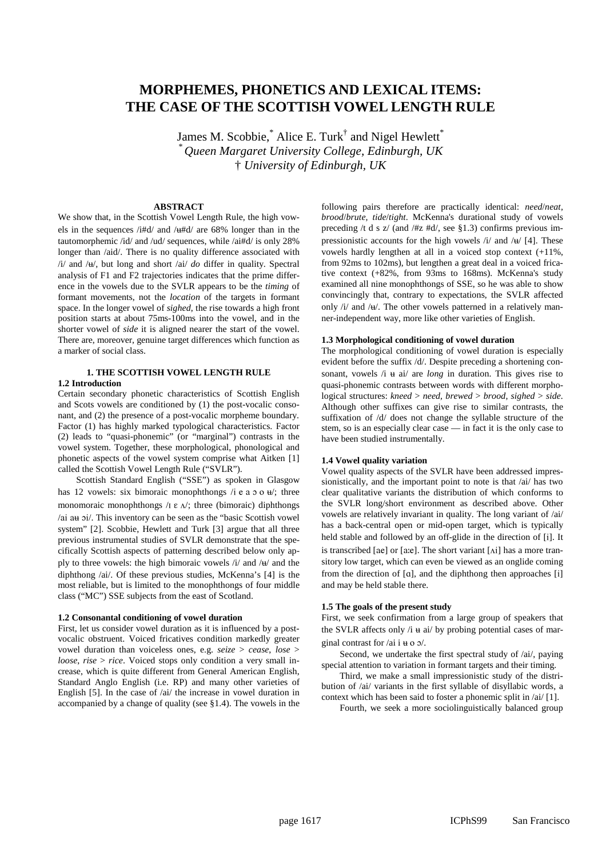# **MORPHEMES, PHONETICS AND LEXICAL ITEMS: THE CASE OF THE SCOTTISH VOWEL LENGTH RULE**

James M. Scobbie, $^*$  Alice E. Turk $^{\dagger}$  and Nigel Hewlett $^*$ *\* Queen Margaret University College, Edinburgh, UK* † *University of Edinburgh, UK*

# **ABSTRACT**

We show that, in the Scottish Vowel Length Rule, the high vowels in the sequences /i#d/ and / $\mu$ #d/ are 68% longer than in the tautomorphemic /id/ and /ud/ sequences, while /ai#d/ is only 28% longer than /aid/. There is no quality difference associated with  $\frac{1}{4}$  and  $\frac{1}{4}$ , but long and short  $\frac{1}{4}$  do differ in quality. Spectral analysis of F1 and F2 trajectories indicates that the prime difference in the vowels due to the SVLR appears to be the *timing* of formant movements, not the *location* of the targets in formant space. In the longer vowel of *sighed*, the rise towards a high front position starts at about 75ms-100ms into the vowel, and in the shorter vowel of *side* it is aligned nearer the start of the vowel. There are, moreover, genuine target differences which function as a marker of social class.

## **1. THE SCOTTISH VOWEL LENGTH RULE 1.2 Introduction**

Certain secondary phonetic characteristics of Scottish English and Scots vowels are conditioned by (1) the post-vocalic consonant, and (2) the presence of a post-vocalic morpheme boundary. Factor (1) has highly marked typological characteristics. Factor (2) leads to "quasi-phonemic" (or "marginal") contrasts in the vowel system. Together, these morphological, phonological and phonetic aspects of the vowel system comprise what Aitken [1] called the Scottish Vowel Length Rule ("SVLR").

Scottish Standard English ("SSE") as spoken in Glasgow has 12 vowels: six bimoraic monophthongs  $/i$  e a  $o$  o  $u$ ; three monomoraic monophthongs  $\Lambda$   $\varepsilon$   $\Lambda$ , three (bimoraic) diphthongs /ai au oi/. This inventory can be seen as the "basic Scottish vowel system" [2]. Scobbie, Hewlett and Turk [3] argue that all three previous instrumental studies of SVLR demonstrate that the specifically Scottish aspects of patterning described below only apply to three vowels: the high bimoraic vowels  $\pi/$  and  $\pi/$  and the diphthong /ai/. Of these previous studies, McKenna's [4] is the most reliable, but is limited to the monophthongs of four middle class ("MC") SSE subjects from the east of Scotland.

## **1.2 Consonantal conditioning of vowel duration**

First, let us consider vowel duration as it is influenced by a postvocalic obstruent. Voiced fricatives condition markedly greater vowel duration than voiceless ones, e.g. *seize* > *cease*, *lose* > *loose*, *rise* > *rice*. Voiced stops only condition a very small increase, which is quite different from General American English, Standard Anglo English (i.e. RP) and many other varieties of English [5]. In the case of /ai/ the increase in vowel duration in accompanied by a change of quality (see §1.4). The vowels in the following pairs therefore are practically identical: *need*/*neat, brood*/*brute, tide*/*tight*. McKenna's durational study of vowels preceding /t d s z/ (and /#z #d/, see §1.3) confirms previous impressionistic accounts for the high vowels  $/i$  and  $/4$  [4]. These vowels hardly lengthen at all in a voiced stop context (+11%, from 92ms to 102ms), but lengthen a great deal in a voiced fricative context (+82%, from 93ms to 168ms). McKenna's study examined all nine monophthongs of SSE, so he was able to show convincingly that, contrary to expectations, the SVLR affected only  $/i$  and  $/4$ . The other vowels patterned in a relatively manner-independent way, more like other varieties of English.

## **1.3 Morphological conditioning of vowel duration**

The morphological conditioning of vowel duration is especially evident before the suffix /d/. Despite preceding a shortening consonant, vowels  $/i$   $\theta$  ai/ are *long* in duration. This gives rise to quasi-phonemic contrasts between words with different morphological structures: *kneed* > *need, brewed* > *brood*, *sighed* > *side*. Although other suffixes can give rise to similar contrasts, the suffixation of /d/ does not change the syllable structure of the stem, so is an especially clear case — in fact it is the only case to have been studied instrumentally.

## **1.4 Vowel quality variation**

Vowel quality aspects of the SVLR have been addressed impressionistically, and the important point to note is that /ai/ has two clear qualitative variants the distribution of which conforms to the SVLR long/short environment as described above. Other vowels are relatively invariant in quality. The long variant of /ai/ has a back-central open or mid-open target, which is typically held stable and followed by an off-glide in the direction of [i]. It is transcribed [ae] or [a:e]. The short variant  $[\text{Ai}]$  has a more transitory low target, which can even be viewed as an onglide coming from the direction of  $[a]$ , and the diphthong then approaches  $[i]$ and may be held stable there.

## **1.5 The goals of the present study**

First, we seek confirmation from a large group of speakers that the SVLR affects only  $/i$   $\theta$  ai/ by probing potential cases of marginal contrast for /ai i  $\#$  o  $\infty$ /.

Second, we undertake the first spectral study of /ai/, paying special attention to variation in formant targets and their timing.

Third, we make a small impressionistic study of the distribution of /ai/ variants in the first syllable of disyllabic words, a context which has been said to foster a phonemic split in /ai/ [1].

Fourth, we seek a more sociolinguistically balanced group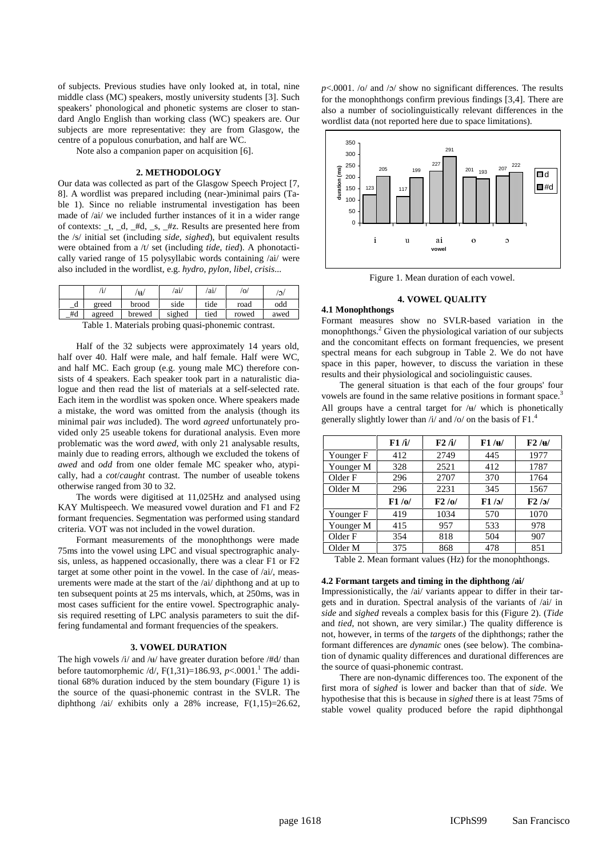of subjects. Previous studies have only looked at, in total, nine middle class (MC) speakers, mostly university students [3]. Such speakers' phonological and phonetic systems are closer to standard Anglo English than working class (WC) speakers are. Our subjects are more representative: they are from Glasgow, the centre of a populous conurbation, and half are WC.

Note also a companion paper on acquisition [6].

## **2. METHODOLOGY**

Our data was collected as part of the Glasgow Speech Project [7, 8]. A wordlist was prepared including (near-)minimal pairs (Table 1). Since no reliable instrumental investigation has been made of /ai/ we included further instances of it in a wider range of contexts: \_t, \_d, \_#d, \_s, \_#z. Results are presented here from the /s/ initial set (including *side*, *sighed*), but equivalent results were obtained from a /t/ set (including *tide*, *tied*). A phonotactically varied range of 15 polysyllabic words containing /ai/ were also included in the wordlist, e.g. *hydro*, *pylon*, *libel*, *crisis*...

|                                                                                                 |        | $\mathbf{H}$ | /ai/   | /ai/ | $'$ O/ | $\omega/$ |  |  |
|-------------------------------------------------------------------------------------------------|--------|--------------|--------|------|--------|-----------|--|--|
| - u                                                                                             | greed  | brood        | side   | tide | road   | odd       |  |  |
| #d                                                                                              | agreed | brewed       | sighed | tied | rowed  | awed      |  |  |
| $T = 11 + 1$<br>the contract of the contract of the contract of the contract of the contract of |        |              |        |      |        |           |  |  |

Table 1. Materials probing quasi-phonemic contrast.

Half of the 32 subjects were approximately 14 years old, half over 40. Half were male, and half female. Half were WC, and half MC. Each group (e.g. young male MC) therefore consists of 4 speakers. Each speaker took part in a naturalistic dialogue and then read the list of materials at a self-selected rate. Each item in the wordlist was spoken once. Where speakers made a mistake, the word was omitted from the analysis (though its minimal pair *was* included). The word *agreed* unfortunately provided only 25 useable tokens for durational analysis. Even more problematic was the word *awed*, with only 21 analysable results, mainly due to reading errors, although we excluded the tokens of *awed* and *odd* from one older female MC speaker who, atypically, had a *cot*/*caught* contrast. The number of useable tokens otherwise ranged from 30 to 32.

The words were digitised at 11,025Hz and analysed using KAY Multispeech. We measured vowel duration and F1 and F2 formant frequencies. Segmentation was performed using standard criteria. VOT was not included in the vowel duration.

Formant measurements of the monophthongs were made 75ms into the vowel using LPC and visual spectrographic analysis, unless, as happened occasionally, there was a clear F1 or F2 target at some other point in the vowel. In the case of /ai/, measurements were made at the start of the /ai/ diphthong and at up to ten subsequent points at 25 ms intervals, which, at 250ms, was in most cases sufficient for the entire vowel. Spectrographic analysis required resetting of LPC analysis parameters to suit the differing fundamental and formant frequencies of the speakers.

#### **3. VOWEL DURATION**

The high vowels  $\frac{i}{4}$  and  $\frac{1}{4}$  have greater duration before  $\frac{1}{4}$  than before tautomorphemic  $/d$ ,  $F(1,31)=186.93$ ,  $p<.0001$ .<sup>1</sup> The additional 68% duration induced by the stem boundary (Figure 1) is the source of the quasi-phonemic contrast in the SVLR. The diphthong /ai/ exhibits only a 28% increase, F(1,15)=26.62,  $p$ <.0001. /o/ and / $p$ / show no significant differences. The results for the monophthongs confirm previous findings [3,4]. There are also a number of sociolinguistically relevant differences in the wordlist data (not reported here due to space limitations).



Figure 1. Mean duration of each vowel.

## **4. VOWEL QUALITY**

## **4.1 Monophthongs**

Formant measures show no SVLR-based variation in the monophthongs.<sup>2</sup> Given the physiological variation of our subjects and the concomitant effects on formant frequencies, we present spectral means for each subgroup in Table 2. We do not have space in this paper, however, to discuss the variation in these results and their physiological and sociolinguistic causes.

The general situation is that each of the four groups' four vowels are found in the same relative positions in formant space.<sup>3</sup> All groups have a central target for  $/\mathfrak{u}/\mathfrak{w}$  which is phonetically generally slightly lower than  $\frac{1}{4}$  and  $\frac{1}{2}$  on the basis of F1.<sup>4</sup>

|           | F1/ii/ | F2/1/ | F1 / H | F2 / H |
|-----------|--------|-------|--------|--------|
| Younger F | 412    | 2749  | 445    | 1977   |
| Younger M | 328    | 2521  | 412    | 1787   |
| Older F   | 296    | 2707  | 370    | 1764   |
| Older M   | 296    | 2231  | 345    | 1567   |
|           |        |       |        |        |
|           | F1/0/  | F2/0/ | F1/5/  | F2/5/  |
| Younger F | 419    | 1034  | 570    | 1070   |
| Younger M | 415    | 957   | 533    | 978    |
| Older F   | 354    | 818   | 504    | 907    |
| Older M   | 375    | 868   | 478    | 851    |

Table 2. Mean formant values (Hz) for the monophthongs.

### **4.2 Formant targets and timing in the diphthong /ai/**

Impressionistically, the /ai/ variants appear to differ in their targets and in duration. Spectral analysis of the variants of /ai/ in *side* and *sighed* reveals a complex basis for this (Figure 2). (*Tide* and *tied*, not shown, are very similar.) The quality difference is not, however, in terms of the *targets* of the diphthongs; rather the formant differences are *dynamic* ones (see below). The combination of dynamic quality differences and durational differences are the source of quasi-phonemic contrast.

There are non-dynamic differences too. The exponent of the first mora of s*ighed* is lower and backer than that of *side*. We hypothesise that this is because in *sighed* there is at least 75ms of stable vowel quality produced before the rapid diphthongal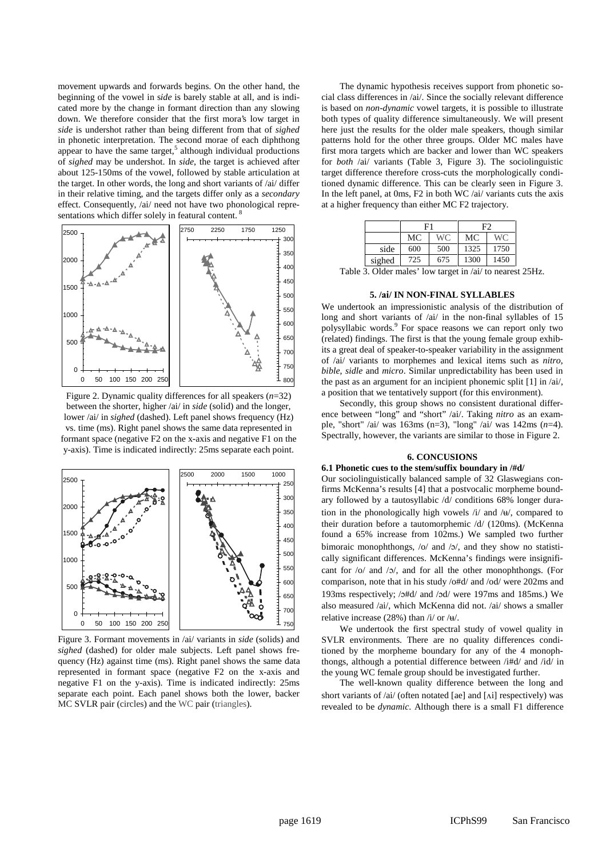movement upwards and forwards begins. On the other hand, the beginning of the vowel in s*ide* is barely stable at all, and is indicated more by the change in formant direction than any slowing down. We therefore consider that the first mora's low target in *side* is undershot rather than being different from that of *sighed* in phonetic interpretation. The second morae of each diphthong appear to have the same target, $5$  although individual productions of *sighed* may be undershot. In *side*, the target is achieved after about 125-150ms of the vowel, followed by stable articulation at the target. In other words, the long and short variants of /ai/ differ in their relative timing, and the targets differ only as a *secondary* effect. Consequently, /ai/ need not have two phonological representations which differ solely in featural content.<sup>8</sup>



Figure 2. Dynamic quality differences for all speakers (*n*=32) between the shorter, higher /ai/ in *side* (solid) and the longer, lower /ai/ in *sighed* (dashed). Left panel shows frequency (Hz) vs. time (ms). Right panel shows the same data represented in formant space (negative F2 on the x-axis and negative F1 on the y-axis). Time is indicated indirectly: 25ms separate each point.



Figure 3. Formant movements in /ai/ variants in *side* (solids) and *sighed* (dashed) for older male subjects. Left panel shows frequency (Hz) against time (ms). Right panel shows the same data represented in formant space (negative F2 on the x-axis and negative F1 on the y-axis). Time is indicated indirectly: 25ms separate each point. Each panel shows both the lower, backer MC SVLR pair (circles) and the WC pair (triangles).

The dynamic hypothesis receives support from phonetic social class differences in /ai/. Since the socially relevant difference is based on *non-dynamic* vowel targets, it is possible to illustrate both types of quality difference simultaneously. We will present here just the results for the older male speakers, though similar patterns hold for the other three groups. Older MC males have first mora targets which are backer and lower than WC speakers for *both* /ai/ variants (Table 3, Figure 3). The sociolinguistic target difference therefore cross-cuts the morphologically conditioned dynamic difference. This can be clearly seen in Figure 3. In the left panel, at 0ms, F2 in both WC /ai/ variants cuts the axis at a higher frequency than either MC F2 trajectory.

|        | F1  |     | F2   |      |
|--------|-----|-----|------|------|
|        | MC  | WC. | МC   | WC.  |
| side   | 600 | 500 | 1325 | 1750 |
| sighed | 725 | 675 | 1300 | 1450 |

Table 3. Older males' low target in /ai/ to nearest 25Hz.

## **5. /ai/ IN NON-FINAL SYLLABLES**

We undertook an impressionistic analysis of the distribution of long and short variants of /ai/ in the non-final syllables of 15 polysyllabic words.<sup>9</sup> For space reasons we can report only two (related) findings. The first is that the young female group exhibits a great deal of speaker-to-speaker variability in the assignment of /ai/ variants to morphemes and lexical items such as *nitro*, *bible*, *sidle* and *micro*. Similar unpredictability has been used in the past as an argument for an incipient phonemic split [1] in /ai/, a position that we tentatively support (for this environment).

Secondly, this group shows no consistent durational difference between "long" and "short" /ai/. Taking *nitro* as an example, "short" /ai/ was 163ms (n=3), "long" /ai/ was 142ms (*n*=4). Spectrally, however, the variants are similar to those in Figure 2.

## **6. CONCUSIONS**

#### **6.1 Phonetic cues to the stem/suffix boundary in /#d/**

Our sociolinguistically balanced sample of 32 Glaswegians confirms McKenna's results [4] that a postvocalic morpheme boundary followed by a tautosyllabic /d/ conditions 68% longer duration in the phonologically high vowels  $/i$  and  $/4$ , compared to their duration before a tautomorphemic /d/ (120ms). (McKenna found a 65% increase from 102ms.) We sampled two further bimoraic monophthongs,  $\frac{\partial}{\partial x}$  and  $\frac{\partial}{\partial y}$ , and they show no statistically significant differences. McKenna's findings were insignificant for  $\frac{1}{2}$  and  $\frac{1}{2}$ , and for all the other monophthongs. (For comparison, note that in his study /o#d/ and /od/ were 202ms and 193ms respectively; /o#d/ and /od/ were 197ms and 185ms.) We also measured /ai/, which McKenna did not. /ai/ shows a smaller relative increase (28%) than  $/i$  or  $/$ u $/$ .

We undertook the first spectral study of vowel quality in SVLR environments. There are no quality differences conditioned by the morpheme boundary for any of the 4 monophthongs, although a potential difference between /i#d/ and /id/ in the young WC female group should be investigated further.

The well-known quality difference between the long and short variants of /ai/ (often notated [ae] and [Ai] respectively) was revealed to be *dynamic*. Although there is a small F1 difference